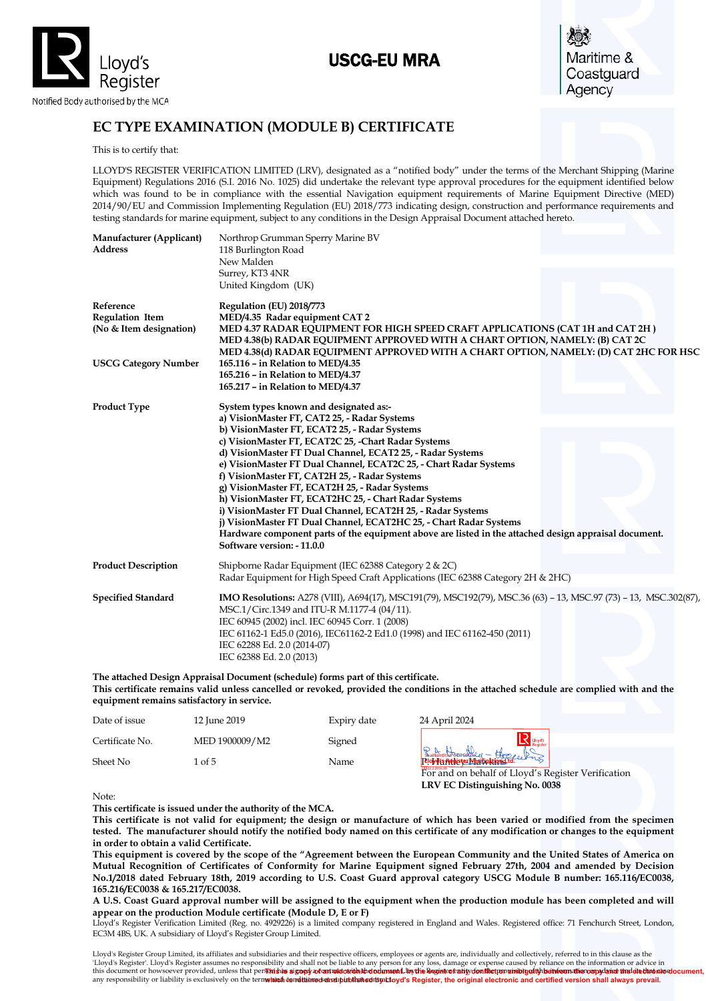

# USCG-EU MRA

Maritime & Coastguard Agency

## **EC TYPE EXAMINATION (MODULE B) CERTIFICATE**

This is to certify that:

LLOYD'S REGISTER VERIFICATION LIMITED (LRV), designated as a "notified body" under the terms of the Merchant Shipping (Marine Equipment) Regulations 2016 (S.I. 2016 No. 1025) did undertake the relevant type approval procedures for the equipment identified below which was found to be in compliance with the essential Navigation equipment requirements of Marine Equipment Directive (MED) 2014/90/EU and Commission Implementing Regulation (EU) 2018/773 indicating design, construction and performance requirements and testing standards for marine equipment, subject to any conditions in the Design Appraisal Document attached hereto.

| Manufacturer (Applicant)<br><b>Address</b>              | Northrop Grumman Sperry Marine BV<br>118 Burlington Road<br>New Malden<br>Surrey, KT3 4NR<br>United Kingdom (UK)                                                                                                                                                                                                                                                                                                                                                                                                                                                                                                                                                                                                                                                         |
|---------------------------------------------------------|--------------------------------------------------------------------------------------------------------------------------------------------------------------------------------------------------------------------------------------------------------------------------------------------------------------------------------------------------------------------------------------------------------------------------------------------------------------------------------------------------------------------------------------------------------------------------------------------------------------------------------------------------------------------------------------------------------------------------------------------------------------------------|
| Reference<br>Regulation Item<br>(No & Item designation) | Regulation (EU) 2018/773<br>MED/4.35 Radar equipment CAT 2<br>MED 4.37 RADAR EQUIPMENT FOR HIGH SPEED CRAFT APPLICATIONS (CAT 1H and CAT 2H)<br>MED 4.38(b) RADAR EQUIPMENT APPROVED WITH A CHART OPTION, NAMELY: (B) CAT 2C<br>MED 4.38(d) RADAR EQUIPMENT APPROVED WITH A CHART OPTION, NAMELY: (D) CAT 2HC FOR HSC                                                                                                                                                                                                                                                                                                                                                                                                                                                    |
| <b>USCG Category Number</b>                             | 165.116 - in Relation to MED/4.35<br>165.216 - in Relation to MED/4.37<br>165.217 - in Relation to MED/4.37                                                                                                                                                                                                                                                                                                                                                                                                                                                                                                                                                                                                                                                              |
| <b>Product Type</b>                                     | System types known and designated as:-<br>a) VisionMaster FT, CAT2 25, - Radar Systems<br>b) VisionMaster FT, ECAT2 25, - Radar Systems<br>c) VisionMaster FT, ECAT2C 25, -Chart Radar Systems<br>d) VisionMaster FT Dual Channel, ECAT2 25, - Radar Systems<br>e) VisionMaster FT Dual Channel, ECAT2C 25, - Chart Radar Systems<br>f) VisionMaster FT, CAT2H 25, - Radar Systems<br>g) VisionMaster FT, ECAT2H 25, - Radar Systems<br>h) VisionMaster FT, ECAT2HC 25, - Chart Radar Systems<br>i) VisionMaster FT Dual Channel, ECAT2H 25, - Radar Systems<br>j) VisionMaster FT Dual Channel, ECAT2HC 25, - Chart Radar Systems<br>Hardware component parts of the equipment above are listed in the attached design appraisal document.<br>Software version: -11.0.0 |
| <b>Product Description</b>                              | Shipborne Radar Equipment (IEC 62388 Category 2 & 2C)<br>Radar Equipment for High Speed Craft Applications (IEC 62388 Category 2H & 2HC)                                                                                                                                                                                                                                                                                                                                                                                                                                                                                                                                                                                                                                 |
| <b>Specified Standard</b>                               | IMO Resolutions: A278 (VIII), A694(17), MSC191(79), MSC192(79), MSC.36 (63) - 13, MSC.97 (73) - 13, MSC.302(87),<br>MSC.1/Circ.1349 and ITU-R M.1177-4 (04/11).<br>IEC 60945 (2002) incl. IEC 60945 Corr. 1 (2008)<br>IEC 61162-1 Ed5.0 (2016), IEC61162-2 Ed1.0 (1998) and IEC 61162-450 (2011)<br>IEC 62288 Ed. 2.0 (2014-07)<br>IEC 62388 Ed. 2.0 (2013)                                                                                                                                                                                                                                                                                                                                                                                                              |

**The attached Design Appraisal Document (schedule) forms part of this certificate. This certificate remains valid unless cancelled or revoked, provided the conditions in the attached schedule are complied with and the equipment remains satisfactory in service.**

| Date of issue   | 12 June 2019   | Expiry date | 24 April 2024                                                                              |
|-----------------|----------------|-------------|--------------------------------------------------------------------------------------------|
| Certificate No. | MED 1900009/M2 | Signed      |                                                                                            |
| Sheet No        | of 5           | Name        | Southmpton breechberg - Hope el Prop<br>For and on behalf of Lloyd's Register Verification |

Note:

**This certificate is issued under the authority of the MCA.** 

**This certificate is not valid for equipment; the design or manufacture of which has been varied or modified from the specimen tested. The manufacturer should notify the notified body named on this certificate of any modification or changes to the equipment in order to obtain a valid Certificate.**

**LRV EC Distinguishing No. 0038**

**This equipment is covered by the scope of the "Agreement between the European Community and the United States of America on Mutual Recognition of Certificates of Conformity for Marine Equipment signed February 27th, 2004 and amended by Decision No.1/2018 dated February 18th, 2019 according to U.S. Coast Guard approval category USCG Module B number: 165.116/EC0038, 165.216/EC0038 & 165.217/EC0038.**  Sheet No<br>
Note:<br>
This certificate is issued under the authority of the MCA.<br>
This certificate is not valid for equipment; the design or manufacture of which has been var<br>
tested. The manufacturer should notify the notified

**A U.S. Coast Guard approval number will be assigned to the equipment when the production module has been completed and will appear on the production Module certificate (Module D, E or F)**

Lloyd's Register Verification Limited (Reg. no. 4929226) is a limited company registered in England and Wales. Registered office: 71 Fenchurch Street, London, EC3M 4BS, UK. A subsidiary of Lloyd's Register Group Limited.

'Lloyd's Register'. Lloyd's Register assumes no responsibility and shall not be liable to any person for any loss, damage or expense caused by reliance on the information or advice in<br>this document or howsoever provided, u any responsibility or liability is exclusively on the terms and conditions set out in that contract. Lloyd's Register Group Limited, its affiliates and subsidiaries and their respective officers, employees or agents are, individually and collectively, referred to in this clause as the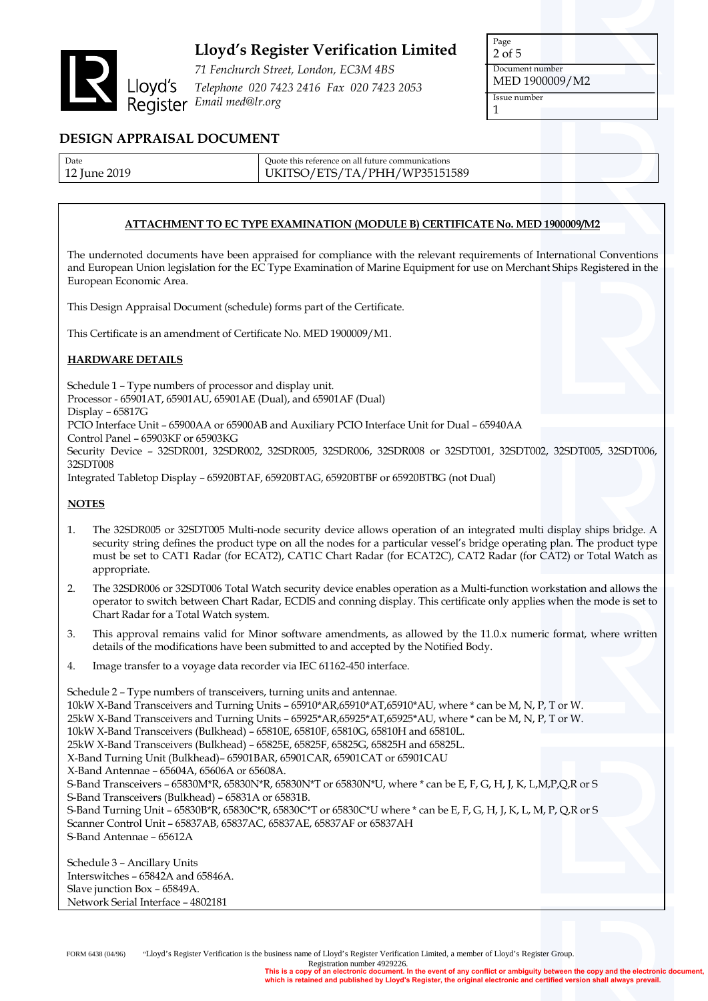

*71 Fenchurch Street, London, EC3M 4BS Telephone 020 7423 2416 Fax 020 7423 2053 Email med@lr.org*

Page 2 of 5 Document number MED 1900009/M2 Issue number 1

### **DESIGN APPRAISAL DOCUMENT**

| Date         | Ouote this reference on all future communications |
|--------------|---------------------------------------------------|
| 12 June 2019 | UKITSO/ETS/TA/PHH/WP35151589                      |

### **ATTACHMENT TO EC TYPE EXAMINATION (MODULE B) CERTIFICATE No. MED 1900009/M2**

The undernoted documents have been appraised for compliance with the relevant requirements of International Conventions and European Union legislation for the EC Type Examination of Marine Equipment for use on Merchant Ships Registered in the European Economic Area.

This Design Appraisal Document (schedule) forms part of the Certificate.

This Certificate is an amendment of Certificate No. MED 1900009/M1.

### **HARDWARE DETAILS**

Schedule 1 – Type numbers of processor and display unit. Processor - 65901AT, 65901AU, 65901AE (Dual), and 65901AF (Dual) Display – 65817G PCIO Interface Unit – 65900AA or 65900AB and Auxiliary PCIO Interface Unit for Dual – 65940AA Control Panel – 65903KF or 65903KG Security Device – 32SDR001, 32SDR002, 32SDR005, 32SDR006, 32SDR008 or 32SDT001, 32SDT002, 32SDT005, 32SDT006, 32SDT008 Integrated Tabletop Display – 65920BTAF, 65920BTAG, 65920BTBF or 65920BTBG (not Dual)

#### **NOTES**

- 1. The 32SDR005 or 32SDT005 Multi-node security device allows operation of an integrated multi display ships bridge. A security string defines the product type on all the nodes for a particular vessel's bridge operating plan. The product type must be set to CAT1 Radar (for ECAT2), CAT1C Chart Radar (for ECAT2C), CAT2 Radar (for CAT2) or Total Watch as appropriate.
- 2. The 32SDR006 or 32SDT006 Total Watch security device enables operation as a Multi-function workstation and allows the operator to switch between Chart Radar, ECDIS and conning display. This certificate only applies when the mode is set to Chart Radar for a Total Watch system.
- 3. This approval remains valid for Minor software amendments, as allowed by the 11.0.x numeric format, where written details of the modifications have been submitted to and accepted by the Notified Body.
- 4. Image transfer to a voyage data recorder via IEC 61162-450 interface.

Schedule 2 – Type numbers of transceivers, turning units and antennae. 10kW X-Band Transceivers and Turning Units – 65910\*AR,65910\*AT,65910\*AU, where \* can be M, N, P, T or W. 25kW X-Band Transceivers and Turning Units – 65925\*AR,65925\*AT,65925\*AU, where \* can be M, N, P, T or W. 10kW X-Band Transceivers (Bulkhead) – 65810E, 65810F, 65810G, 65810H and 65810L. 25kW X-Band Transceivers (Bulkhead) – 65825E, 65825F, 65825G, 65825H and 65825L. X-Band Turning Unit (Bulkhead)– 65901BAR, 65901CAR, 65901CAT or 65901CAU X-Band Antennae – 65604A, 65606A or 65608A. S-Band Transceivers – 65830M\*R, 65830N\*R, 65830N\*T or 65830N\*U, where \* can be E, F, G, H, J, K, L,M,P,Q,R or S S-Band Transceivers (Bulkhead) – 65831A or 65831B. S-Band Turning Unit – 65830B\*R, 65830C\*R, 65830C\*T or 65830C\*U where \* can be E, F, G, H, J, K, L, M, P, Q,R or S Scanner Control Unit – 65837AB, 65837AC, 65837AE, 65837AF or 65837AH S-Band Antennae – 65612A

Schedule 3 – Ancillary Units Interswitches – 65842A and 65846A. Slave junction Box – 65849A. Network Serial Interface – 4802181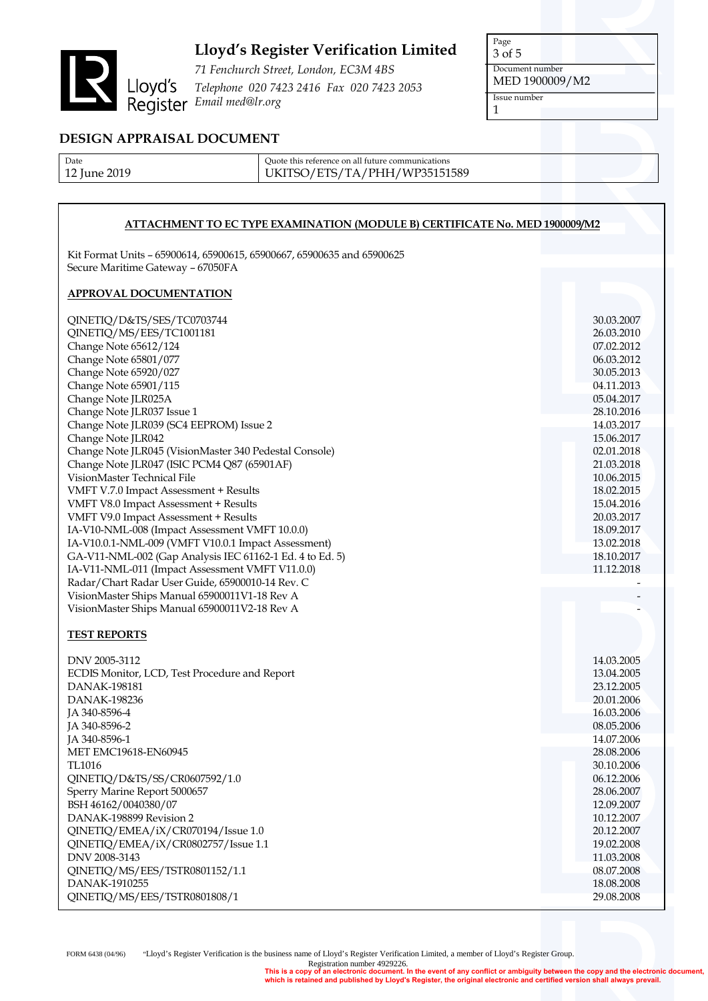

*71 Fenchurch Street, London, EC3M 4BS Telephone 020 7423 2416 Fax 020 7423 2053 Email med@lr.org*

Page 3 of 5 Document number MED 1900009/M2 Issue number 1

### **DESIGN APPRAISAL DOCUMENT**

| Date         | Quote this reference on all future communications |
|--------------|---------------------------------------------------|
| 2019<br>lune | UKITSO/ETS/TA/PHH/WP35151589                      |

### **ATTACHMENT TO EC TYPE EXAMINATION (MODULE B) CERTIFICATE No. MED 1900009/M2**

Kit Format Units – 65900614, 65900615, 65900667, 65900635 and 65900625 Secure Maritime Gateway – 67050FA

### **APPROVAL DOCUMENTATION**

| QINETIQ/D&TS/SES/TC0703744                                                                                                                                                                                                                                                                                                                                                                                                                                                         | 30.03.2007                                                                                                                 |
|------------------------------------------------------------------------------------------------------------------------------------------------------------------------------------------------------------------------------------------------------------------------------------------------------------------------------------------------------------------------------------------------------------------------------------------------------------------------------------|----------------------------------------------------------------------------------------------------------------------------|
| QINETIQ/MS/EES/TC1001181                                                                                                                                                                                                                                                                                                                                                                                                                                                           | 26.03.2010                                                                                                                 |
| Change Note 65612/124                                                                                                                                                                                                                                                                                                                                                                                                                                                              | 07.02.2012                                                                                                                 |
| Change Note 65801/077                                                                                                                                                                                                                                                                                                                                                                                                                                                              | 06.03.2012                                                                                                                 |
| Change Note 65920/027                                                                                                                                                                                                                                                                                                                                                                                                                                                              | 30.05.2013                                                                                                                 |
| Change Note 65901/115                                                                                                                                                                                                                                                                                                                                                                                                                                                              | 04.11.2013                                                                                                                 |
| Change Note JLR025A                                                                                                                                                                                                                                                                                                                                                                                                                                                                | 05.04.2017                                                                                                                 |
| Change Note JLR037 Issue 1                                                                                                                                                                                                                                                                                                                                                                                                                                                         | 28.10.2016                                                                                                                 |
| Change Note JLR039 (SC4 EEPROM) Issue 2                                                                                                                                                                                                                                                                                                                                                                                                                                            | 14.03.2017                                                                                                                 |
| Change Note JLR042                                                                                                                                                                                                                                                                                                                                                                                                                                                                 | 15.06.2017                                                                                                                 |
| Change Note JLR045 (VisionMaster 340 Pedestal Console)                                                                                                                                                                                                                                                                                                                                                                                                                             | 02.01.2018                                                                                                                 |
| Change Note JLR047 (ISIC PCM4 Q87 (65901AF)<br>VisionMaster Technical File<br>VMFT V.7.0 Impact Assessment + Results<br>VMFT V8.0 Impact Assessment + Results<br>VMFT V9.0 Impact Assessment + Results<br>IA-V10-NML-008 (Impact Assessment VMFT 10.0.0)<br>IA-V10.0.1-NML-009 (VMFT V10.0.1 Impact Assessment)<br>GA-V11-NML-002 (Gap Analysis IEC 61162-1 Ed. 4 to Ed. 5)<br>IA-V11-NML-011 (Impact Assessment VMFT V11.0.0)<br>Radar/Chart Radar User Guide, 65900010-14 Rev. C | 21.03.2018<br>10.06.2015<br>18.02.2015<br>15.04.2016<br>20.03.2017<br>18.09.2017<br>13.02.2018<br>18.10.2017<br>11.12.2018 |
| VisionMaster Ships Manual 65900011V1-18 Rev A<br>VisionMaster Ships Manual 65900011V2-18 Rev A<br><b>TEST REPORTS</b>                                                                                                                                                                                                                                                                                                                                                              |                                                                                                                            |
| DNV 2005-3112                                                                                                                                                                                                                                                                                                                                                                                                                                                                      | 14.03.2005                                                                                                                 |
| ECDIS Monitor, LCD, Test Procedure and Report                                                                                                                                                                                                                                                                                                                                                                                                                                      | 13.04.2005                                                                                                                 |
| DANAK-198181                                                                                                                                                                                                                                                                                                                                                                                                                                                                       | 23.12.2005                                                                                                                 |
| DANAK-198236                                                                                                                                                                                                                                                                                                                                                                                                                                                                       | 20.01.2006                                                                                                                 |
| JA 340-8596-4                                                                                                                                                                                                                                                                                                                                                                                                                                                                      | 16.03.2006                                                                                                                 |
| JA 340-8596-2                                                                                                                                                                                                                                                                                                                                                                                                                                                                      | 08.05.2006                                                                                                                 |
| JA 340-8596-1                                                                                                                                                                                                                                                                                                                                                                                                                                                                      | 14.07.2006                                                                                                                 |
| <b>MET EMC19618-EN60945</b>                                                                                                                                                                                                                                                                                                                                                                                                                                                        | 28.08.2006                                                                                                                 |
| TL1016                                                                                                                                                                                                                                                                                                                                                                                                                                                                             | 30.10.2006                                                                                                                 |
| QINETIQ/D&TS/SS/CR0607592/1.0                                                                                                                                                                                                                                                                                                                                                                                                                                                      | 06.12.2006                                                                                                                 |
| Sperry Marine Report 5000657                                                                                                                                                                                                                                                                                                                                                                                                                                                       | 28.06.2007                                                                                                                 |
| BSH 46162/0040380/07                                                                                                                                                                                                                                                                                                                                                                                                                                                               | 12.09.2007                                                                                                                 |
| DANAK-198899 Revision 2                                                                                                                                                                                                                                                                                                                                                                                                                                                            | 10.12.2007                                                                                                                 |
| QINETIQ/EMEA/iX/CR070194/Issue 1.0                                                                                                                                                                                                                                                                                                                                                                                                                                                 | 20.12.2007                                                                                                                 |
| QINETIQ/EMEA/iX/CR0802757/Issue 1.1                                                                                                                                                                                                                                                                                                                                                                                                                                                | 19.02.2008                                                                                                                 |
| DNV 2008-3143                                                                                                                                                                                                                                                                                                                                                                                                                                                                      | 11.03.2008                                                                                                                 |
| QINETIQ/MS/EES/TSTR0801152/1.1                                                                                                                                                                                                                                                                                                                                                                                                                                                     | 08.07.2008                                                                                                                 |
| DANAK-1910255                                                                                                                                                                                                                                                                                                                                                                                                                                                                      | 18.08.2008                                                                                                                 |
| QINETIQ/MS/EES/TSTR0801808/1                                                                                                                                                                                                                                                                                                                                                                                                                                                       | 29.08.2008                                                                                                                 |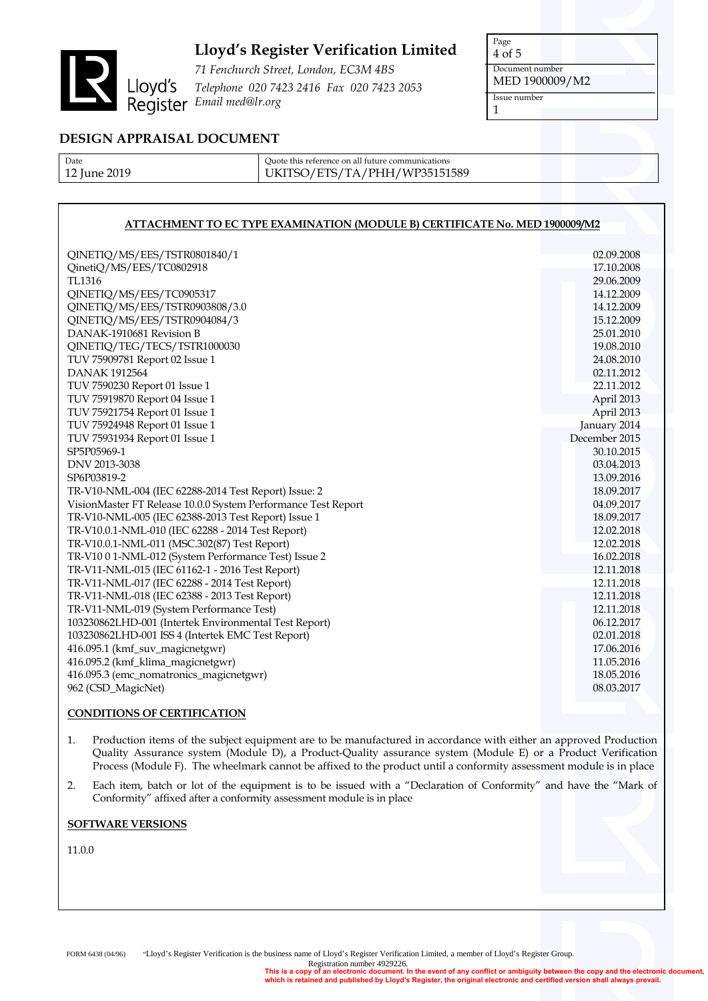

*71 Fenchurch Street, London, EC3M 4BS Telephone 020 7423 2416 Fax 020 7423 2053 Fenchurch stree*<br>Lloyd's *Telephone 020 742*<br>Register *Email med@lr.org* 

Page 4 of 5 Document number MED 1900009/M2 Issue number 1

## **DESIGN APPRAISAL DOCUMENT**

| Date         |  |
|--------------|--|
| 12 June 2019 |  |

Quote this reference on all future communications UKITSO/ETS/TA/PHH/WP35151589

### **ATTACHMENT TO EC TYPE EXAMINATION (MODULE B) CERTIFICATE No. MED 1900009/M2**

| QINETIQ/MS/EES/TSTR0801840/1<br>QinetiQ/MS/EES/TC0802918      |  | 02.09.2008<br>17.10.2008 |
|---------------------------------------------------------------|--|--------------------------|
| TL1316                                                        |  | 29.06.2009               |
| QINETIQ/MS/EES/TC0905317                                      |  | 14.12.2009               |
| QINETIQ/MS/EES/TSTR0903808/3.0                                |  | 14.12.2009               |
| QINETIQ/MS/EES/TSTR0904084/3                                  |  | 15.12.2009               |
| DANAK-1910681 Revision B                                      |  | 25.01.2010               |
| QINETIQ/TEG/TECS/TSTR1000030                                  |  | 19.08.2010               |
| TUV 75909781 Report 02 Issue 1                                |  | 24.08.2010               |
| <b>DANAK 1912564</b>                                          |  | 02.11.2012               |
| TUV 7590230 Report 01 Issue 1                                 |  | 22.11.2012               |
| TUV 75919870 Report 04 Issue 1                                |  | April 2013               |
| TUV 75921754 Report 01 Issue 1                                |  | April 2013               |
| TUV 75924948 Report 01 Issue 1                                |  | January 2014             |
| TUV 75931934 Report 01 Issue 1                                |  | December 2015            |
| SP5P05969-1                                                   |  | 30.10.2015               |
| DNV 2013-3038                                                 |  | 03.04.2013               |
| SP6P03819-2                                                   |  | 13.09.2016               |
| TR-V10-NML-004 (IEC 62288-2014 Test Report) Issue: 2          |  | 18.09.2017               |
| VisionMaster FT Release 10.0.0 System Performance Test Report |  | 04.09.2017               |
| TR-V10-NML-005 (IEC 62388-2013 Test Report) Issue 1           |  | 18.09.2017               |
| TR-V10.0.1-NML-010 (IEC 62288 - 2014 Test Report)             |  | 12.02.2018               |
| TR-V10.0.1-NML-011 (MSC.302(87) Test Report)                  |  | 12.02.2018               |
| TR-V10 0 1-NML-012 (System Performance Test) Issue 2          |  | 16.02.2018               |
| TR-V11-NML-015 (IEC 61162-1 - 2016 Test Report)               |  | 12.11.2018               |
| TR-V11-NML-017 (IEC 62288 - 2014 Test Report)                 |  | 12.11.2018               |
| TR-V11-NML-018 (IEC 62388 - 2013 Test Report)                 |  | 12.11.2018               |
| TR-V11-NML-019 (System Performance Test)                      |  | 12.11.2018               |
| 103230862LHD-001 (Intertek Environmental Test Report)         |  | 06.12.2017               |
| 103230862LHD-001 ISS 4 (Intertek EMC Test Report)             |  | 02.01.2018               |
| 416.095.1 (kmf_suv_magicnetgwr)                               |  | 17.06.2016               |
| 416.095.2 (kmf_klima_magicnetgwr)                             |  | 11.05.2016               |
| 416.095.3 (emc_nomatronics_magicnetgwr)                       |  | 18.05.2016               |
| 962 (CSD_MagicNet)                                            |  | 08.03.2017               |
|                                                               |  |                          |

#### **CONDITIONS OF CERTIFICATION**

- 1. Production items of the subject equipment are to be manufactured in accordance with either an approved Production Quality Assurance system (Module D), a Product-Quality assurance system (Module E) or a Product Verification Process (Module F). The wheelmark cannot be affixed to the product until a conformity assessment module is in place
- 2. Each item, batch or lot of the equipment is to be issued with a "Declaration of Conformity" and have the "Mark of Conformity" affixed after a conformity assessment module is in place

#### **SOFTWARE VERSIONS**

11.0.0